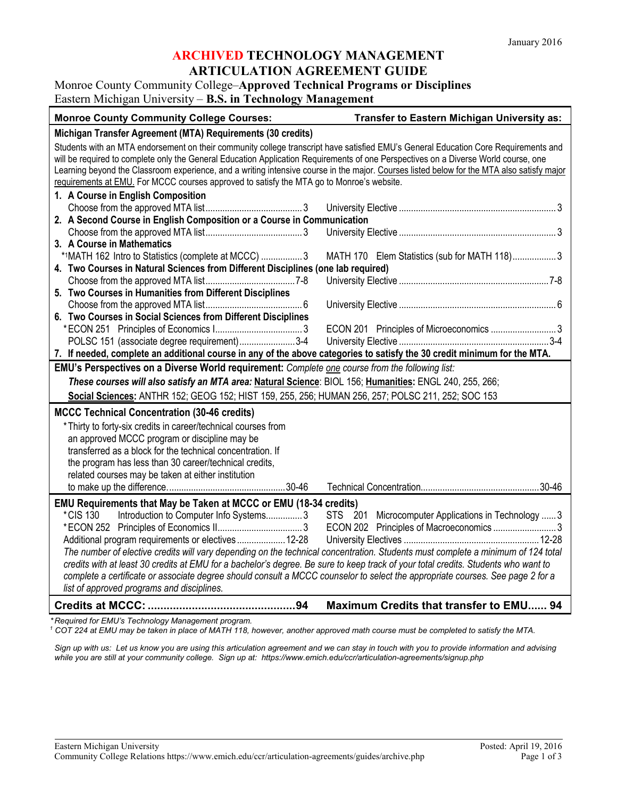### **ARCHIVED TECHNOLOGY MANAGEMENT ARTICULATION AGREEMENT GUIDE**

## Monroe County Community College–**Approved Technical Programs or Disciplines** Eastern Michigan University – **B.S. in Technology Management**

| <b>Monroe County Community College Courses:</b>                                                                                            | Transfer to Eastern Michigan University as:         |
|--------------------------------------------------------------------------------------------------------------------------------------------|-----------------------------------------------------|
| Michigan Transfer Agreement (MTA) Requirements (30 credits)                                                                                |                                                     |
| Students with an MTA endorsement on their community college transcript have satisfied EMU's General Education Core Requirements and        |                                                     |
| will be required to complete only the General Education Application Requirements of one Perspectives on a Diverse World course, one        |                                                     |
| Learning beyond the Classroom experience, and a writing intensive course in the major. Courses listed below for the MTA also satisfy major |                                                     |
| requirements at EMU. For MCCC courses approved to satisfy the MTA go to Monroe's website.                                                  |                                                     |
| 1. A Course in English Composition                                                                                                         |                                                     |
|                                                                                                                                            |                                                     |
| 2. A Second Course in English Composition or a Course in Communication                                                                     |                                                     |
|                                                                                                                                            |                                                     |
| 3. A Course in Mathematics                                                                                                                 |                                                     |
| *1MATH 162 Intro to Statistics (complete at MCCC)  3                                                                                       | MATH 170 Elem Statistics (sub for MATH 118)3        |
| 4. Two Courses in Natural Sciences from Different Disciplines (one lab required)                                                           |                                                     |
|                                                                                                                                            |                                                     |
| 5. Two Courses in Humanities from Different Disciplines                                                                                    |                                                     |
|                                                                                                                                            |                                                     |
| 6. Two Courses in Social Sciences from Different Disciplines                                                                               |                                                     |
|                                                                                                                                            | ECON 201 Principles of Microeconomics  3            |
| POLSC 151 (associate degree requirement)3-4                                                                                                |                                                     |
| 7. If needed, complete an additional course in any of the above categories to satisfy the 30 credit minimum for the MTA.                   |                                                     |
| EMU's Perspectives on a Diverse World requirement: Complete one course from the following list:                                            |                                                     |
| These courses will also satisfy an MTA area: Natural Science: BIOL 156; Humanities: ENGL 240, 255, 266;                                    |                                                     |
| Social Sciences: ANTHR 152; GEOG 152; HIST 159, 255, 256; HUMAN 256, 257; POLSC 211, 252; SOC 153                                          |                                                     |
| <b>MCCC Technical Concentration (30-46 credits)</b>                                                                                        |                                                     |
| * Thirty to forty-six credits in career/technical courses from                                                                             |                                                     |
| an approved MCCC program or discipline may be                                                                                              |                                                     |
| transferred as a block for the technical concentration. If                                                                                 |                                                     |
| the program has less than 30 career/technical credits,                                                                                     |                                                     |
| related courses may be taken at either institution                                                                                         |                                                     |
|                                                                                                                                            |                                                     |
| EMU Requirements that May be Taken at MCCC or EMU (18-34 credits)                                                                          |                                                     |
| *CIS 130<br>Introduction to Computer Info Systems3                                                                                         | STS 201 Microcomputer Applications in Technology  3 |
|                                                                                                                                            |                                                     |
| Additional program requirements or electives 12-28                                                                                         |                                                     |
| The number of elective credits will vary depending on the technical concentration. Students must complete a minimum of 124 total           |                                                     |
| credits with at least 30 credits at EMU for a bachelor's degree. Be sure to keep track of your total credits. Students who want to         |                                                     |
| complete a certificate or associate degree should consult a MCCC counselor to select the appropriate courses. See page 2 for a             |                                                     |
| list of approved programs and disciplines.                                                                                                 |                                                     |
|                                                                                                                                            | Maximum Credits that transfer to EMU 94             |

*\* Required for EMU's Technology Management program.* 

*<sup>1</sup> COT 224 at EMU may be taken in place of MATH 118, however, another approved math course must be completed to satisfy the MTA.*

*Sign up with us: Let us know you are using this articulation agreement and we can stay in touch with you to provide information and advising while you are still at your community college. Sign up at: https://www.emich.edu/ccr/articulation-agreements/signup.php*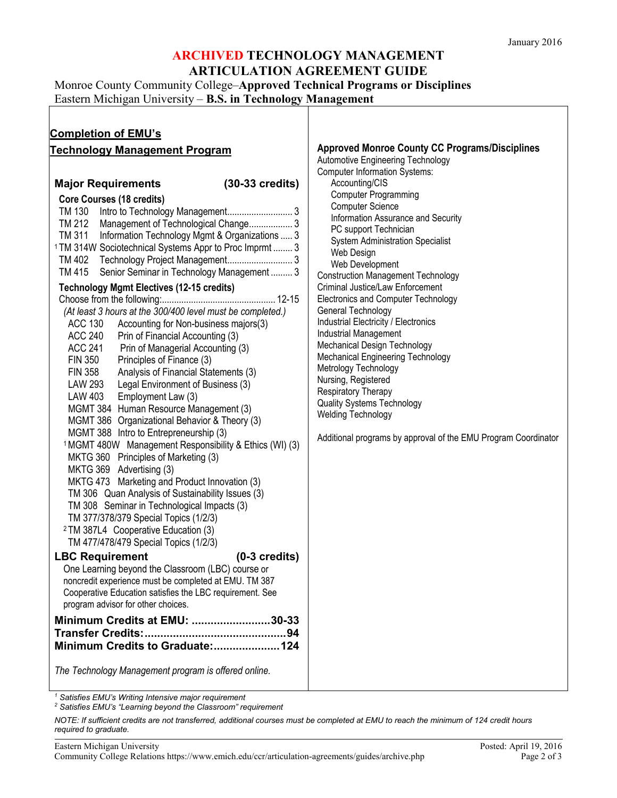### **ARCHIVED TECHNOLOGY MANAGEMENT ARTICULATION AGREEMENT GUIDE**

Monroe County Community College–**Approved Technical Programs or Disciplines**

Eastern Michigan University – **B.S. in Technology Management**

| <b>Completion of EMU's</b><br><b>Technology Management Program</b>                                                                                                                                                                                                                                                                                                                                                                                                                                                                                                                                                                                                                                                                                                                                                                                                                                                                                                                                                                                                                                                                                                                                                                                                                                                                                                                                                                                                                                                                                                                                                                                                                                                                                                                                                                                           | <b>Approved Monroe County CC Programs/Disciplines</b>                                                                                                                                                                                                                                                                                                                                                                                                                                                                                                                                                                                                                                                                                                                                                               |
|--------------------------------------------------------------------------------------------------------------------------------------------------------------------------------------------------------------------------------------------------------------------------------------------------------------------------------------------------------------------------------------------------------------------------------------------------------------------------------------------------------------------------------------------------------------------------------------------------------------------------------------------------------------------------------------------------------------------------------------------------------------------------------------------------------------------------------------------------------------------------------------------------------------------------------------------------------------------------------------------------------------------------------------------------------------------------------------------------------------------------------------------------------------------------------------------------------------------------------------------------------------------------------------------------------------------------------------------------------------------------------------------------------------------------------------------------------------------------------------------------------------------------------------------------------------------------------------------------------------------------------------------------------------------------------------------------------------------------------------------------------------------------------------------------------------------------------------------------------------|---------------------------------------------------------------------------------------------------------------------------------------------------------------------------------------------------------------------------------------------------------------------------------------------------------------------------------------------------------------------------------------------------------------------------------------------------------------------------------------------------------------------------------------------------------------------------------------------------------------------------------------------------------------------------------------------------------------------------------------------------------------------------------------------------------------------|
| $(30-33 \text{ credits})$<br><b>Major Requirements</b><br><b>Core Courses (18 credits)</b><br>TM 130<br>TM 212<br>Management of Technological Change 3<br>TM 311<br>Information Technology Mgmt & Organizations  3<br><sup>1</sup> TM 314W Sociotechnical Systems Appr to Proc Imprmt  3<br>TM 402 Technology Project Management 3<br>TM 415 Senior Seminar in Technology Management  3<br><b>Technology Mgmt Electives (12-15 credits)</b><br>(At least 3 hours at the 300/400 level must be completed.)<br><b>ACC 130</b><br>Accounting for Non-business majors(3)<br><b>ACC 240</b><br>Prin of Financial Accounting (3)<br><b>ACC 241</b><br>Prin of Managerial Accounting (3)<br><b>FIN 350</b><br>Principles of Finance (3)<br><b>FIN 358</b><br>Analysis of Financial Statements (3)<br><b>LAW 293</b><br>Legal Environment of Business (3)<br>LAW 403<br>Employment Law (3)<br>MGMT 384 Human Resource Management (3)<br>MGMT 386 Organizational Behavior & Theory (3)<br>MGMT 388 Intro to Entrepreneurship (3)<br><sup>1</sup> MGMT 480W Management Responsibility & Ethics (WI) (3)<br>MKTG 360 Principles of Marketing (3)<br>MKTG 369 Advertising (3)<br>MKTG 473 Marketing and Product Innovation (3)<br>TM 306 Quan Analysis of Sustainability Issues (3)<br>TM 308 Seminar in Technological Impacts (3)<br>TM 377/378/379 Special Topics (1/2/3)<br><sup>2</sup> TM 387L4 Cooperative Education (3)<br>TM 477/478/479 Special Topics (1/2/3)<br><b>LBC Requirement</b><br>$(0-3 \text{ credits})$<br>One Learning beyond the Classroom (LBC) course or<br>noncredit experience must be completed at EMU. TM 387<br>Cooperative Education satisfies the LBC requirement. See<br>program advisor for other choices.<br>Minimum Credits at EMU: 30-33<br>Minimum Credits to Graduate:124<br>The Technology Management program is offered online. | Automotive Engineering Technology<br><b>Computer Information Systems:</b><br>Accounting/CIS<br><b>Computer Programming</b><br><b>Computer Science</b><br>Information Assurance and Security<br>PC support Technician<br><b>System Administration Specialist</b><br>Web Design<br>Web Development<br><b>Construction Management Technology</b><br>Criminal Justice/Law Enforcement<br>Electronics and Computer Technology<br>General Technology<br><b>Industrial Electricity / Electronics</b><br><b>Industrial Management</b><br>Mechanical Design Technology<br><b>Mechanical Engineering Technology</b><br>Metrology Technology<br>Nursing, Registered<br>Respiratory Therapy<br><b>Quality Systems Technology</b><br><b>Welding Technology</b><br>Additional programs by approval of the EMU Program Coordinator |

*<sup>1</sup> Satisfies EMU's Writing Intensive major requirement*

*<sup>2</sup> Satisfies EMU's "Learning beyond the Classroom" requirement*

*NOTE: If sufficient credits are not transferred, additional courses must be completed at EMU to reach the minimum of 124 credit hours required to graduate.*